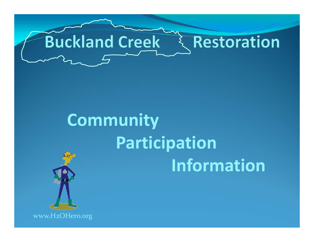

# **Community Participation Information**



www.H2OHero.org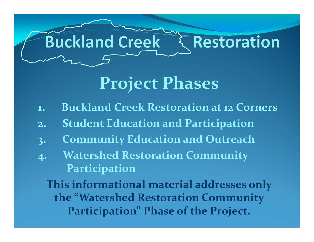

## **Project Phases**

- **1. Buckland Creek Restoration at <sup>12</sup> Corners**
- **2. Student Education and Participation**
- **3. Community Education and Outreach**
- **4. Watershed Restoration Community Participation**

**This informational material addresses only the "Watershed Restoration Community Participation" Phase of the Project.**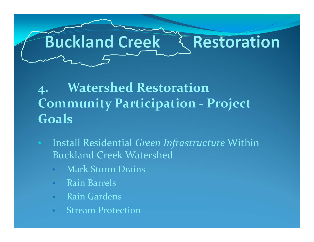

### **4. Watershed Restoration Community Participation ‐ Project Goals**

- Install Residential *Green Infrastructure* Within Buckland Creek Watershed
	- Mark Storm Drains
	- $\bullet$ Rain Barrels
	- $\bullet$ Rain Gardens
	- $\bullet$ **Stream Protection**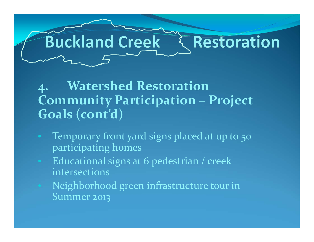

#### **4. Watershed Restoration Community Participation – Project Goals (cont'd)**

- $\bigodot$  Temporary front yard signs placed at up to 50 participating homes
- Educational signs at 6 pedestrian / creek intersections
- Neighborhood green infrastructure tour in Summer 2013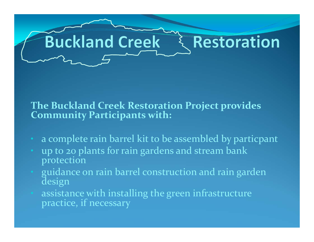#### **The Buckland Creek Restoration Project provides Community Participants with:**

- a complete rain barrel kit to be assembled by particpant
- up to <sup>20</sup> plants for rain gardens and stream bank protection
- guidance on rain barrel construction and rain garden design
- assistance with installing the green infrastructure practice, if necessary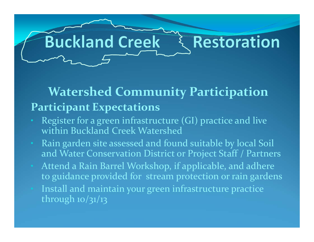#### **Watershed Community Participation Participant Expectations**

- Register for <sup>a</sup> green infrastructure (GI) practice and live within Buckland Creek Watershed
- Rain garden site assessed and found suitable by local Soil and Water Conservation District or Project Staff / Partners
- Attend <sup>a</sup> Rain Barrel Workshop, if applicable, and adhere to guidance provided for stream protection or rain gardens
- Install and maintain your green infrastructure practice through  $10/31/13$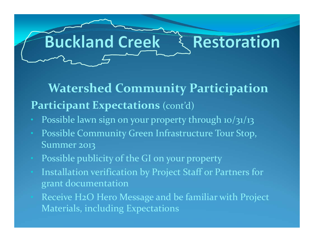#### **Watershed Community Participation Participant Expectations** (cont'd)

- Possible lawn sign on your property through 10/31/13
- Possible Community Green Infrastructure Tour Stop, Summer 2013
- Possible publicity of the GI on your property
- Installation verification by Project Staff or Partners for gran<sup>t</sup> documentation
- Receive H2O Hero Message and be familiar with Project Materials, including Expectations